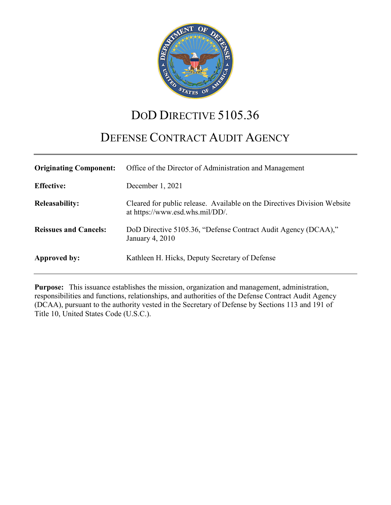

# DOD DIRECTIVE 5105.36

# DEFENSE CONTRACT AUDIT AGENCY

| <b>Originating Component:</b> | Office of the Director of Administration and Management                                                     |
|-------------------------------|-------------------------------------------------------------------------------------------------------------|
| <b>Effective:</b>             | December 1, 2021                                                                                            |
| <b>Releasability:</b>         | Cleared for public release. Available on the Directives Division Website<br>at https://www.esd.whs.mil/DD/. |
| <b>Reissues and Cancels:</b>  | DoD Directive 5105.36, "Defense Contract Audit Agency (DCAA),"<br>January 4, 2010                           |
| Approved by:                  | Kathleen H. Hicks, Deputy Secretary of Defense                                                              |

**Purpose:** This issuance establishes the mission, organization and management, administration, responsibilities and functions, relationships, and authorities of the Defense Contract Audit Agency (DCAA), pursuant to the authority vested in the Secretary of Defense by Sections 113 and 191 of Title 10, United States Code (U.S.C.).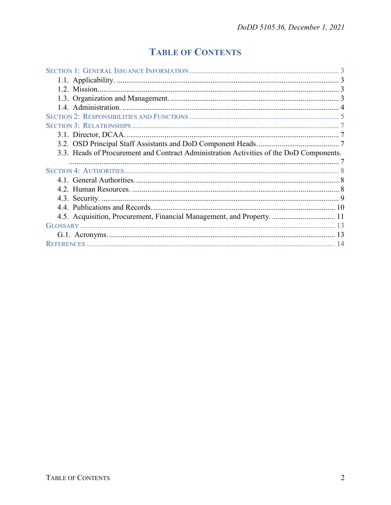# **TABLE OF CONTENTS**

| 3.3. Heads of Procurement and Contract Administration Activities of the DoD Components. |  |
|-----------------------------------------------------------------------------------------|--|
|                                                                                         |  |
|                                                                                         |  |
|                                                                                         |  |
|                                                                                         |  |
|                                                                                         |  |
|                                                                                         |  |
| 4.5. Acquisition, Procurement, Financial Management, and Property.  11                  |  |
|                                                                                         |  |
|                                                                                         |  |
|                                                                                         |  |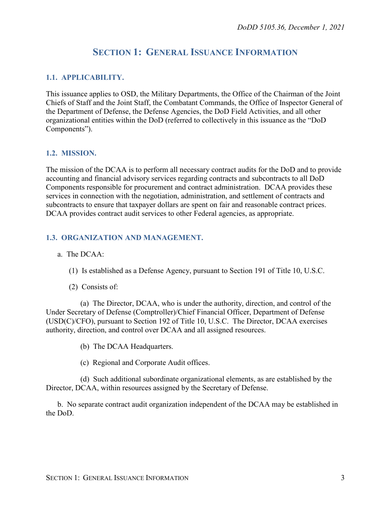## **SECTION 1: GENERAL ISSUANCE INFORMATION**

#### <span id="page-2-1"></span><span id="page-2-0"></span>**1.1. APPLICABILITY.**

This issuance applies to OSD, the Military Departments, the Office of the Chairman of the Joint Chiefs of Staff and the Joint Staff, the Combatant Commands, the Office of Inspector General of the Department of Defense, the Defense Agencies, the DoD Field Activities, and all other organizational entities within the DoD (referred to collectively in this issuance as the "DoD Components").

#### <span id="page-2-2"></span>**1.2. MISSION.**

The mission of the DCAA is to perform all necessary contract audits for the DoD and to provide accounting and financial advisory services regarding contracts and subcontracts to all DoD Components responsible for procurement and contract administration. DCAA provides these services in connection with the negotiation, administration, and settlement of contracts and subcontracts to ensure that taxpayer dollars are spent on fair and reasonable contract prices. DCAA provides contract audit services to other Federal agencies, as appropriate.

#### <span id="page-2-3"></span>**1.3. ORGANIZATION AND MANAGEMENT.**

#### a. The DCAA:

- (1) Is established as a Defense Agency, pursuant to Section 191 of Title 10, U.S.C.
- (2) Consists of:

(a) The Director, DCAA, who is under the authority, direction, and control of the Under Secretary of Defense (Comptroller)/Chief Financial Officer, Department of Defense (USD(C)/CFO), pursuant to Section 192 of Title 10, U.S.C. The Director, DCAA exercises authority, direction, and control over DCAA and all assigned resources.

- (b) The DCAA Headquarters.
- (c) Regional and Corporate Audit offices.

(d) Such additional subordinate organizational elements, as are established by the Director, DCAA, within resources assigned by the Secretary of Defense.

b. No separate contract audit organization independent of the DCAA may be established in the DoD.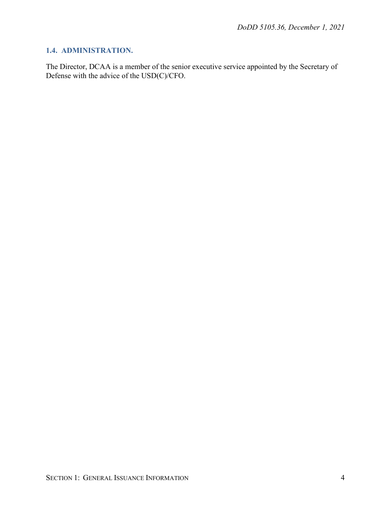### <span id="page-3-0"></span>**1.4. ADMINISTRATION.**

The Director, DCAA is a member of the senior executive service appointed by the Secretary of Defense with the advice of the USD(C)/CFO.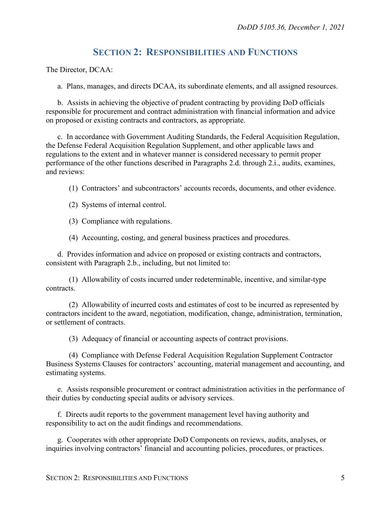## **SECTION 2: RESPONSIBILITIES AND FUNCTIONS**

<span id="page-4-0"></span>The Director, DCAA:

a. Plans, manages, and directs DCAA, its subordinate elements, and all assigned resources.

b. Assists in achieving the objective of prudent contracting by providing DoD officials responsible for procurement and contract administration with financial information and advice on proposed or existing contracts and contractors, as appropriate.

c. In accordance with Government Auditing Standards, the Federal Acquisition Regulation, the Defense Federal Acquisition Regulation Supplement, and other applicable laws and regulations to the extent and in whatever manner is considered necessary to permit proper performance of the other functions described in Paragraphs 2.d. through 2.i., audits, examines, and reviews:

(1) Contractors' and subcontractors' accounts records, documents, and other evidence.

(2) Systems of internal control.

(3) Compliance with regulations.

(4) Accounting, costing, and general business practices and procedures.

d. Provides information and advice on proposed or existing contracts and contractors, consistent with Paragraph 2.b., including, but not limited to:

(1) Allowability of costs incurred under redeterminable, incentive, and similar-type contracts.

(2) Allowability of incurred costs and estimates of cost to be incurred as represented by contractors incident to the award, negotiation, modification, change, administration, termination, or settlement of contracts.

(3) Adequacy of financial or accounting aspects of contract provisions.

(4) Compliance with Defense Federal Acquisition Regulation Supplement Contractor Business Systems Clauses for contractors' accounting, material management and accounting, and estimating systems.

e. Assists responsible procurement or contract administration activities in the performance of their duties by conducting special audits or advisory services.

f. Directs audit reports to the government management level having authority and responsibility to act on the audit findings and recommendations.

g. Cooperates with other appropriate DoD Components on reviews, audits, analyses, or inquiries involving contractors' financial and accounting policies, procedures, or practices.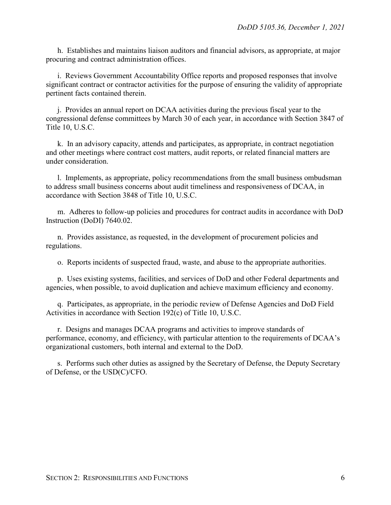h. Establishes and maintains liaison auditors and financial advisors, as appropriate, at major procuring and contract administration offices.

i. Reviews Government Accountability Office reports and proposed responses that involve significant contract or contractor activities for the purpose of ensuring the validity of appropriate pertinent facts contained therein.

j. Provides an annual report on DCAA activities during the previous fiscal year to the congressional defense committees by March 30 of each year, in accordance with Section 3847 of Title 10, U.S.C.

k. In an advisory capacity, attends and participates, as appropriate, in contract negotiation and other meetings where contract cost matters, audit reports, or related financial matters are under consideration.

l. Implements, as appropriate, policy recommendations from the small business ombudsman to address small business concerns about audit timeliness and responsiveness of DCAA, in accordance with Section 3848 of Title 10, U.S.C.

m. Adheres to follow-up policies and procedures for contract audits in accordance with DoD Instruction (DoDI) 7640.02.

n. Provides assistance, as requested, in the development of procurement policies and regulations.

o. Reports incidents of suspected fraud, waste, and abuse to the appropriate authorities.

p. Uses existing systems, facilities, and services of DoD and other Federal departments and agencies, when possible, to avoid duplication and achieve maximum efficiency and economy.

q. Participates, as appropriate, in the periodic review of Defense Agencies and DoD Field Activities in accordance with Section 192(c) of Title 10, U.S.C.

r. Designs and manages DCAA programs and activities to improve standards of performance, economy, and efficiency, with particular attention to the requirements of DCAA's organizational customers, both internal and external to the DoD.

s. Performs such other duties as assigned by the Secretary of Defense, the Deputy Secretary of Defense, or the USD(C)/CFO.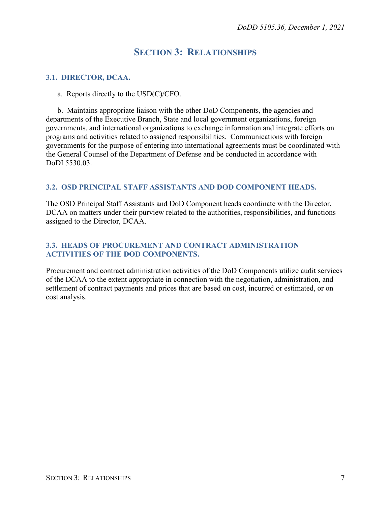## **SECTION 3: RELATIONSHIPS**

#### <span id="page-6-1"></span><span id="page-6-0"></span>**3.1. DIRECTOR, DCAA.**

a. Reports directly to the USD(C)/CFO.

b. Maintains appropriate liaison with the other DoD Components, the agencies and departments of the Executive Branch, State and local government organizations, foreign governments, and international organizations to exchange information and integrate efforts on programs and activities related to assigned responsibilities. Communications with foreign governments for the purpose of entering into international agreements must be coordinated with the General Counsel of the Department of Defense and be conducted in accordance with DoDI 5530.03.

#### <span id="page-6-2"></span>**3.2. OSD PRINCIPAL STAFF ASSISTANTS AND DOD COMPONENT HEADS.**

The OSD Principal Staff Assistants and DoD Component heads coordinate with the Director, DCAA on matters under their purview related to the authorities, responsibilities, and functions assigned to the Director, DCAA.

#### <span id="page-6-3"></span>**3.3. HEADS OF PROCUREMENT AND CONTRACT ADMINISTRATION ACTIVITIES OF THE DOD COMPONENTS.**

Procurement and contract administration activities of the DoD Components utilize audit services of the DCAA to the extent appropriate in connection with the negotiation, administration, and settlement of contract payments and prices that are based on cost, incurred or estimated, or on cost analysis.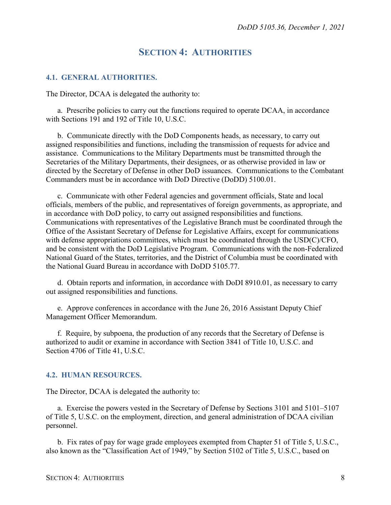### **SECTION 4: AUTHORITIES**

#### <span id="page-7-1"></span><span id="page-7-0"></span>**4.1. GENERAL AUTHORITIES.**

The Director, DCAA is delegated the authority to:

a. Prescribe policies to carry out the functions required to operate DCAA, in accordance with Sections 191 and 192 of Title 10, U.S.C.

b. Communicate directly with the DoD Components heads, as necessary, to carry out assigned responsibilities and functions, including the transmission of requests for advice and assistance. Communications to the Military Departments must be transmitted through the Secretaries of the Military Departments, their designees, or as otherwise provided in law or directed by the Secretary of Defense in other DoD issuances. Communications to the Combatant Commanders must be in accordance with DoD Directive (DoDD) 5100.01.

c. Communicate with other Federal agencies and government officials, State and local officials, members of the public, and representatives of foreign governments, as appropriate, and in accordance with DoD policy, to carry out assigned responsibilities and functions. Communications with representatives of the Legislative Branch must be coordinated through the Office of the Assistant Secretary of Defense for Legislative Affairs, except for communications with defense appropriations committees, which must be coordinated through the USD(C)/CFO, and be consistent with the DoD Legislative Program. Communications with the non-Federalized National Guard of the States, territories, and the District of Columbia must be coordinated with the National Guard Bureau in accordance with DoDD 5105.77.

d. Obtain reports and information, in accordance with DoDI 8910.01, as necessary to carry out assigned responsibilities and functions.

e. Approve conferences in accordance with the June 26, 2016 Assistant Deputy Chief Management Officer Memorandum.

f. Require, by subpoena, the production of any records that the Secretary of Defense is authorized to audit or examine in accordance with Section 3841 of Title 10, U.S.C. and Section 4706 of Title 41, U.S.C.

#### <span id="page-7-2"></span>**4.2. HUMAN RESOURCES.**

The Director, DCAA is delegated the authority to:

a. Exercise the powers vested in the Secretary of Defense by Sections 3101 and 5101–5107 of Title 5, U.S.C. on the employment, direction, and general administration of DCAA civilian personnel.

b. Fix rates of pay for wage grade employees exempted from Chapter 51 of Title 5, U.S.C., also known as the "Classification Act of 1949," by Section 5102 of Title 5, U.S.C., based on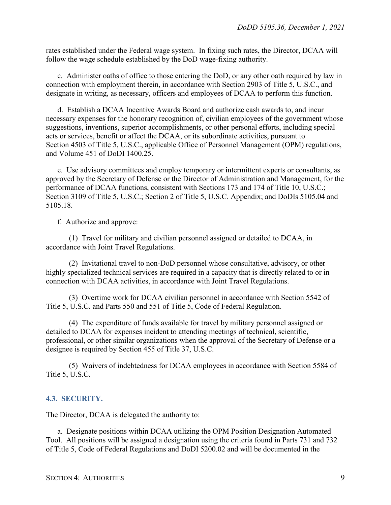rates established under the Federal wage system. In fixing such rates, the Director, DCAA will follow the wage schedule established by the DoD wage-fixing authority.

c. Administer oaths of office to those entering the DoD, or any other oath required by law in connection with employment therein, in accordance with Section 2903 of Title 5, U.S.C., and designate in writing, as necessary, officers and employees of DCAA to perform this function.

d. Establish a DCAA Incentive Awards Board and authorize cash awards to, and incur necessary expenses for the honorary recognition of, civilian employees of the government whose suggestions, inventions, superior accomplishments, or other personal efforts, including special acts or services, benefit or affect the DCAA, or its subordinate activities, pursuant to Section 4503 of Title 5, U.S.C., applicable Office of Personnel Management (OPM) regulations, and Volume 451 of DoDI 1400.25.

e. Use advisory committees and employ temporary or intermittent experts or consultants, as approved by the Secretary of Defense or the Director of Administration and Management, for the performance of DCAA functions, consistent with Sections 173 and 174 of Title 10, U.S.C.; Section 3109 of Title 5, U.S.C.; Section 2 of Title 5, U.S.C. Appendix; and DoDIs 5105.04 and 5105.18.

f. Authorize and approve:

(1) Travel for military and civilian personnel assigned or detailed to DCAA, in accordance with Joint Travel Regulations.

(2) Invitational travel to non-DoD personnel whose consultative, advisory, or other highly specialized technical services are required in a capacity that is directly related to or in connection with DCAA activities, in accordance with Joint Travel Regulations.

(3) Overtime work for DCAA civilian personnel in accordance with Section 5542 of Title 5, U.S.C. and Parts 550 and 551 of Title 5, Code of Federal Regulation.

(4) The expenditure of funds available for travel by military personnel assigned or detailed to DCAA for expenses incident to attending meetings of technical, scientific, professional, or other similar organizations when the approval of the Secretary of Defense or a designee is required by Section 455 of Title 37, U.S.C.

(5) Waivers of indebtedness for DCAA employees in accordance with Section 5584 of Title 5, U.S.C.

#### <span id="page-8-0"></span>**4.3. SECURITY.**

The Director, DCAA is delegated the authority to:

a. Designate positions within DCAA utilizing the OPM Position Designation Automated Tool. All positions will be assigned a designation using the criteria found in Parts 731 and 732 of Title 5, Code of Federal Regulations and DoDI 5200.02 and will be documented in the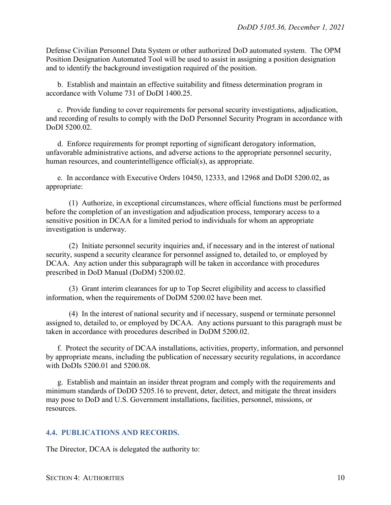Defense Civilian Personnel Data System or other authorized DoD automated system. The OPM Position Designation Automated Tool will be used to assist in assigning a position designation and to identify the background investigation required of the position.

b. Establish and maintain an effective suitability and fitness determination program in accordance with Volume 731 of DoDI 1400.25.

c. Provide funding to cover requirements for personal security investigations, adjudication, and recording of results to comply with the DoD Personnel Security Program in accordance with DoDI 5200.02.

d. Enforce requirements for prompt reporting of significant derogatory information, unfavorable administrative actions, and adverse actions to the appropriate personnel security, human resources, and counterintelligence official(s), as appropriate.

e. In accordance with Executive Orders 10450, 12333, and 12968 and DoDI 5200.02, as appropriate:

(1) Authorize, in exceptional circumstances, where official functions must be performed before the completion of an investigation and adjudication process, temporary access to a sensitive position in DCAA for a limited period to individuals for whom an appropriate investigation is underway.

(2) Initiate personnel security inquiries and, if necessary and in the interest of national security, suspend a security clearance for personnel assigned to, detailed to, or employed by DCAA. Any action under this subparagraph will be taken in accordance with procedures prescribed in DoD Manual (DoDM) 5200.02.

(3) Grant interim clearances for up to Top Secret eligibility and access to classified information, when the requirements of DoDM 5200.02 have been met.

(4) In the interest of national security and if necessary, suspend or terminate personnel assigned to, detailed to, or employed by DCAA. Any actions pursuant to this paragraph must be taken in accordance with procedures described in DoDM 5200.02.

f. Protect the security of DCAA installations, activities, property, information, and personnel by appropriate means, including the publication of necessary security regulations, in accordance with DoDIs 5200.01 and 5200.08.

g. Establish and maintain an insider threat program and comply with the requirements and minimum standards of DoDD 5205.16 to prevent, deter, detect, and mitigate the threat insiders may pose to DoD and U.S. Government installations, facilities, personnel, missions, or resources.

#### <span id="page-9-0"></span>**4.4. PUBLICATIONS AND RECORDS.**

The Director, DCAA is delegated the authority to: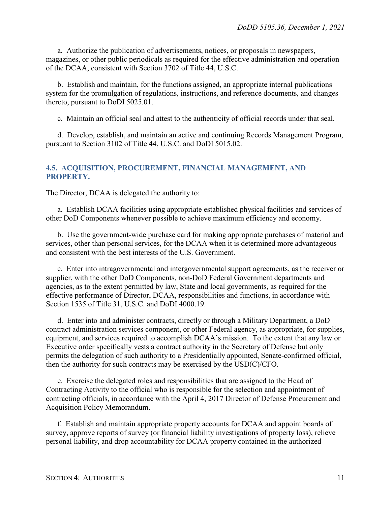a. Authorize the publication of advertisements, notices, or proposals in newspapers, magazines, or other public periodicals as required for the effective administration and operation of the DCAA, consistent with Section 3702 of Title 44, U.S.C.

b. Establish and maintain, for the functions assigned, an appropriate internal publications system for the promulgation of regulations, instructions, and reference documents, and changes thereto, pursuant to DoDI 5025.01.

c. Maintain an official seal and attest to the authenticity of official records under that seal.

d. Develop, establish, and maintain an active and continuing Records Management Program, pursuant to Section 3102 of Title 44, U.S.C. and DoDI 5015.02.

#### <span id="page-10-0"></span>**4.5. ACQUISITION, PROCUREMENT, FINANCIAL MANAGEMENT, AND PROPERTY.**

The Director, DCAA is delegated the authority to:

a. Establish DCAA facilities using appropriate established physical facilities and services of other DoD Components whenever possible to achieve maximum efficiency and economy.

b. Use the government-wide purchase card for making appropriate purchases of material and services, other than personal services, for the DCAA when it is determined more advantageous and consistent with the best interests of the U.S. Government.

c. Enter into intragovernmental and intergovernmental support agreements, as the receiver or supplier, with the other DoD Components, non-DoD Federal Government departments and agencies, as to the extent permitted by law, State and local governments, as required for the effective performance of Director, DCAA, responsibilities and functions, in accordance with Section 1535 of Title 31, U.S.C. and DoDI 4000.19.

d. Enter into and administer contracts, directly or through a Military Department, a DoD contract administration services component, or other Federal agency, as appropriate, for supplies, equipment, and services required to accomplish DCAA's mission. To the extent that any law or Executive order specifically vests a contract authority in the Secretary of Defense but only permits the delegation of such authority to a Presidentially appointed, Senate-confirmed official, then the authority for such contracts may be exercised by the USD(C)/CFO.

e. Exercise the delegated roles and responsibilities that are assigned to the Head of Contracting Activity to the official who is responsible for the selection and appointment of contracting officials, in accordance with the April 4, 2017 Director of Defense Procurement and Acquisition Policy Memorandum.

f. Establish and maintain appropriate property accounts for DCAA and appoint boards of survey, approve reports of survey (or financial liability investigations of property loss), relieve personal liability, and drop accountability for DCAA property contained in the authorized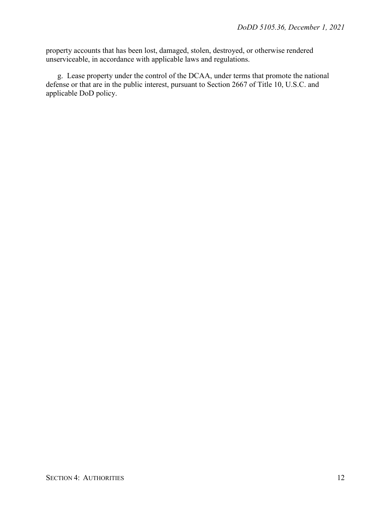property accounts that has been lost, damaged, stolen, destroyed, or otherwise rendered unserviceable, in accordance with applicable laws and regulations.

g. Lease property under the control of the DCAA, under terms that promote the national defense or that are in the public interest, pursuant to Section 2667 of Title 10, U.S.C. and applicable DoD policy.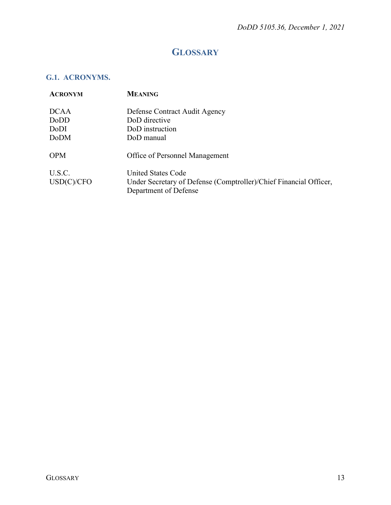## **GLOSSARY**

### <span id="page-12-1"></span><span id="page-12-0"></span>**G.1. ACRONYMS.**

| <b>ACRONYM</b> | <b>MEANING</b>                                                                             |
|----------------|--------------------------------------------------------------------------------------------|
| <b>DCAA</b>    | Defense Contract Audit Agency                                                              |
| DoDD           | DoD directive                                                                              |
| DoDI           | DoD instruction                                                                            |
| <b>DoDM</b>    | DoD manual                                                                                 |
| <b>OPM</b>     | <b>Office of Personnel Management</b>                                                      |
| U.S.C.         | United States Code                                                                         |
| USD(C)/CFO     | Under Secretary of Defense (Comptroller)/Chief Financial Officer,<br>Department of Defense |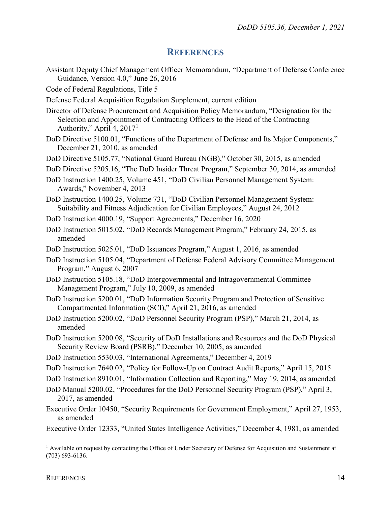#### **REFERENCES**

- <span id="page-13-0"></span>Assistant Deputy Chief Management Officer Memorandum, "Department of Defense Conference Guidance, Version 4.0," June 26, 2016
- Code of Federal Regulations, Title 5
- Defense Federal Acquisition Regulation Supplement, current edition
- Director of Defense Procurement and Acquisition Policy Memorandum, "Designation for the Selection and Appointment of Contracting Officers to the Head of the Contracting Authority," April 4, 2017[1](#page-13-1)
- DoD Directive 5100.01, "Functions of the Department of Defense and Its Major Components," December 21, 2010, as amended
- DoD Directive 5105.77, "National Guard Bureau (NGB)," October 30, 2015, as amended
- DoD Directive 5205.16, "The DoD Insider Threat Program," September 30, 2014, as amended
- DoD Instruction 1400.25, Volume 451, "DoD Civilian Personnel Management System: Awards," November 4, 2013
- DoD Instruction 1400.25, Volume 731, "DoD Civilian Personnel Management System: Suitability and Fitness Adjudication for Civilian Employees," August 24, 2012
- DoD Instruction 4000.19, "Support Agreements," December 16, 2020
- DoD Instruction 5015.02, "DoD Records Management Program," February 24, 2015, as amended
- DoD Instruction 5025.01, "DoD Issuances Program," August 1, 2016, as amended
- DoD Instruction 5105.04, "Department of Defense Federal Advisory Committee Management Program," August 6, 2007
- DoD Instruction 5105.18, "DoD Intergovernmental and Intragovernmental Committee Management Program," July 10, 2009, as amended
- DoD Instruction 5200.01, "DoD Information Security Program and Protection of Sensitive Compartmented Information (SCI)," April 21, 2016, as amended
- DoD Instruction 5200.02, "DoD Personnel Security Program (PSP)," March 21, 2014, as amended
- DoD Instruction 5200.08, "Security of DoD Installations and Resources and the DoD Physical Security Review Board (PSRB)," December 10, 2005, as amended
- DoD Instruction 5530.03, "International Agreements," December 4, 2019
- DoD Instruction 7640.02, "Policy for Follow-Up on Contract Audit Reports," April 15, 2015
- DoD Instruction 8910.01, "Information Collection and Reporting," May 19, 2014, as amended
- DoD Manual 5200.02, "Procedures for the DoD Personnel Security Program (PSP)," April 3, 2017, as amended
- Executive Order 10450, "Security Requirements for Government Employment," April 27, 1953, as amended
- Executive Order 12333, "United States Intelligence Activities," December 4, 1981, as amended

<span id="page-13-1"></span><sup>&</sup>lt;sup>1</sup> Available on request by contacting the Office of Under Secretary of Defense for Acquisition and Sustainment at (703) 693-6136.